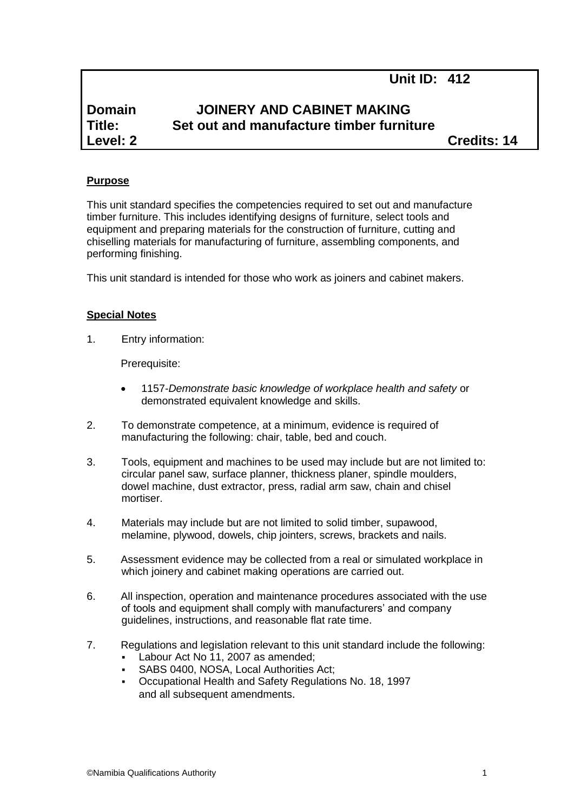# **Unit ID: 412**

# **Domain JOINERY AND CABINET MAKING Title: Set out and manufacture timber furniture Level: 2 Credits: 14**

#### **Purpose**

This unit standard specifies the competencies required to set out and manufacture timber furniture. This includes identifying designs of furniture, select tools and equipment and preparing materials for the construction of furniture, cutting and chiselling materials for manufacturing of furniture, assembling components, and performing finishing.

This unit standard is intended for those who work as joiners and cabinet makers.

#### **Special Notes**

1. Entry information:

Prerequisite:

- 1157*-Demonstrate basic knowledge of workplace health and safety* or demonstrated equivalent knowledge and skills.
- 2. To demonstrate competence, at a minimum, evidence is required of manufacturing the following: chair, table, bed and couch.
- 3. Tools, equipment and machines to be used may include but are not limited to: circular panel saw, surface planner, thickness planer, spindle moulders, dowel machine, dust extractor, press, radial arm saw, chain and chisel mortiser.
- 4. Materials may include but are not limited to solid timber, supawood, melamine, plywood, dowels, chip jointers, screws, brackets and nails.
- 5. Assessment evidence may be collected from a real or simulated workplace in which joinery and cabinet making operations are carried out.
- 6. All inspection, operation and maintenance procedures associated with the use of tools and equipment shall comply with manufacturers' and company guidelines, instructions, and reasonable flat rate time.
- 7. Regulations and legislation relevant to this unit standard include the following:
	- Labour Act No 11, 2007 as amended;
	- SABS 0400, NOSA, Local Authorities Act;
	- Occupational Health and Safety Regulations No. 18, 1997 and all subsequent amendments.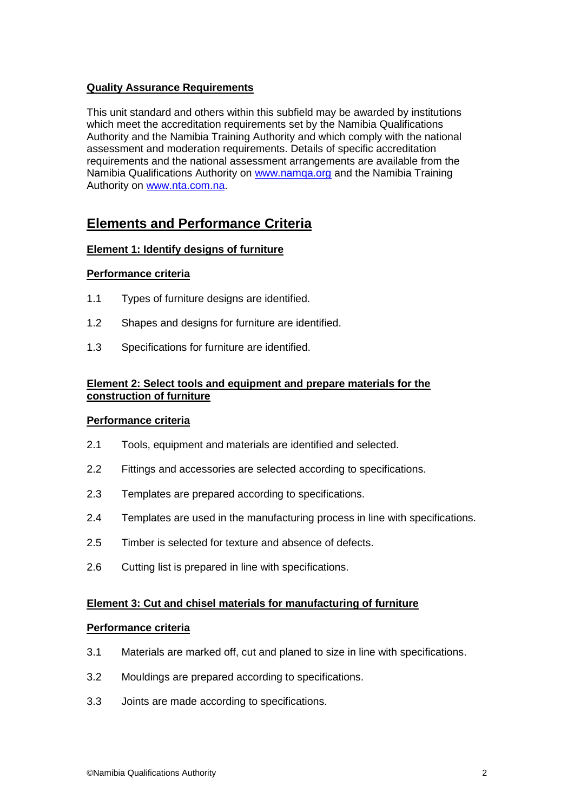# **Quality Assurance Requirements**

This unit standard and others within this subfield may be awarded by institutions which meet the accreditation requirements set by the Namibia Qualifications Authority and the Namibia Training Authority and which comply with the national assessment and moderation requirements. Details of specific accreditation requirements and the national assessment arrangements are available from the Namibia Qualifications Authority on [www.namqa.org](http://www.namqa.org/) and the Namibia Training Authority on [www.nta.com.na.](http://www.nta.com.na/)

# **Elements and Performance Criteria**

# **Element 1: Identify designs of furniture**

# **Performance criteria**

- 1.1 Types of furniture designs are identified.
- 1.2 Shapes and designs for furniture are identified.
- 1.3 Specifications for furniture are identified.

# **Element 2: Select tools and equipment and prepare materials for the construction of furniture**

# **Performance criteria**

- 2.1 Tools, equipment and materials are identified and selected.
- 2.2 Fittings and accessories are selected according to specifications.
- 2.3 Templates are prepared according to specifications.
- 2.4 Templates are used in the manufacturing process in line with specifications.
- 2.5 Timber is selected for texture and absence of defects.
- 2.6 Cutting list is prepared in line with specifications.

# **Element 3: Cut and chisel materials for manufacturing of furniture**

#### **Performance criteria**

- 3.1 Materials are marked off, cut and planed to size in line with specifications.
- 3.2 Mouldings are prepared according to specifications.
- 3.3 Joints are made according to specifications.